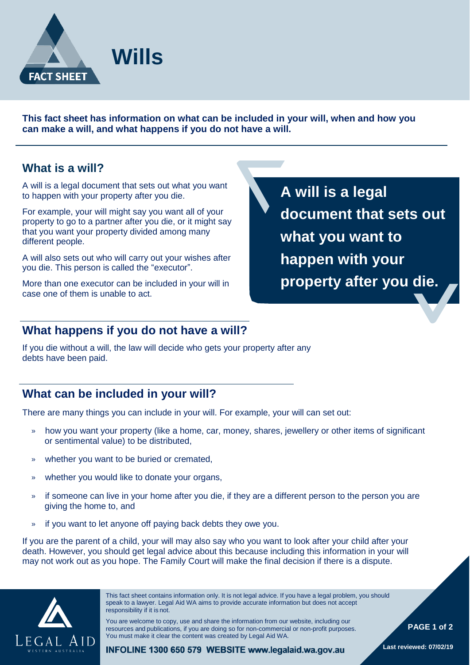

**This fact sheet has information on what can be included in your will, when and how you can make a will, and what happens if you do not have a will.**

### **What is a will?**

A will is a legal document that sets out what you want to happen with your property after you die.

For example, your will might say you want all of your property to go to a partner after you die, or it might say that you want your property divided among many different people.

A will also sets out who will carry out your wishes after you die. This person is called the "executor".

More than one executor can be included in your will in case one of them is unable to act.

**A will is a legal document that sets out what you want to happen with your property after you die.**

## **What happens if you do not have a will?**

If you die without a will, the law will decide who gets your property after any debts have been paid.

## **What can be included in your will?**

There are many things you can include in your will. For example, your will can set out:

- » how you want your property (like a home, car, money, shares, jewellery or other items of significant or sentimental value) to be distributed,
- » whether you want to be buried or cremated,
- » whether you would like to donate your organs,
- » if someone can live in your home after you die, if they are a different person to the person you are giving the home to, and
- » if you want to let anyone off paying back debts they owe you.

If you are the parent of a child, your will may also say who you want to look after your child after your death. However, you should get legal advice about this because including this information in your will may not work out as you hope. The Family Court will make the final decision if there is a dispute.



This fact sheet contains information only. It is not legal advice. If you have a legal problem, you should speak to a lawyer. Legal Aid WA aims to provide accurate information but does not accept responsibility if it is not.

You are welcome to copy, use and share the information from our website, including our resources and publications, if you are doing so for non-commercial or non-profit purposes. You must make it clear the content was created by Legal Aid WA.

 **PAGE 1 of 2**

INFOLINE 1300 650 579 WEBSITE www.legalaid.wa.gov.au